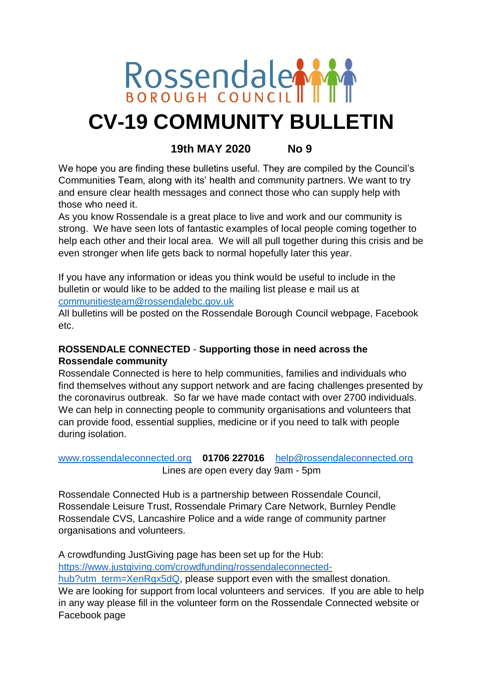## Rossendale **CV-19 COMMUNITY BULLETIN**

#### **19th MAY 2020 No 9**

We hope you are finding these bulletins useful. They are compiled by the Council's Communities Team, along with its' health and community partners. We want to try and ensure clear health messages and connect those who can supply help with those who need it.

As you know Rossendale is a great place to live and work and our community is strong. We have seen lots of fantastic examples of local people coming together to help each other and their local area. We will all pull together during this crisis and be even stronger when life gets back to normal hopefully later this year.

If you have any information or ideas you think would be useful to include in the bulletin or would like to be added to the mailing list please e mail us at [communitiesteam@rossendalebc.gov.uk](mailto:communitiesteam@rossendalebc.gov.uk)

All bulletins will be posted on the Rossendale Borough Council webpage, Facebook etc.

#### **ROSSENDALE CONNECTED** - **Supporting those in need across the Rossendale community**

Rossendale Connected is here to help communities, families and individuals who find themselves without any support network and are facing challenges presented by the coronavirus outbreak. So far we have made contact with over 2700 individuals. We can help in connecting people to community organisations and volunteers that can provide food, essential supplies, medicine or if you need to talk with people during isolation.

#### [www.rossendaleconnected.org](http://www.rossendaleconnected.org/) **01706 227016** [help@rossendaleconnected.org](mailto:help@rossendaleconnected.org) Lines are open every day 9am - 5pm

Rossendale Connected Hub is a partnership between Rossendale Council, Rossendale Leisure Trust, Rossendale Primary Care Network, Burnley Pendle Rossendale CVS, Lancashire Police and a wide range of community partner organisations and volunteers.

A crowdfunding JustGiving page has been set up for the Hub: [https://www.justgiving.com/crowdfunding/rossendaleconnected](https://www.justgiving.com/crowdfunding/rossendaleconnected-hub?utm_term=XenRgx5dQ)[hub?utm\\_term=XenRgx5dQ,](https://www.justgiving.com/crowdfunding/rossendaleconnected-hub?utm_term=XenRgx5dQ) please support even with the smallest donation. We are looking for support from local volunteers and services. If you are able to help in any way please fill in the volunteer form on the Rossendale Connected website or Facebook page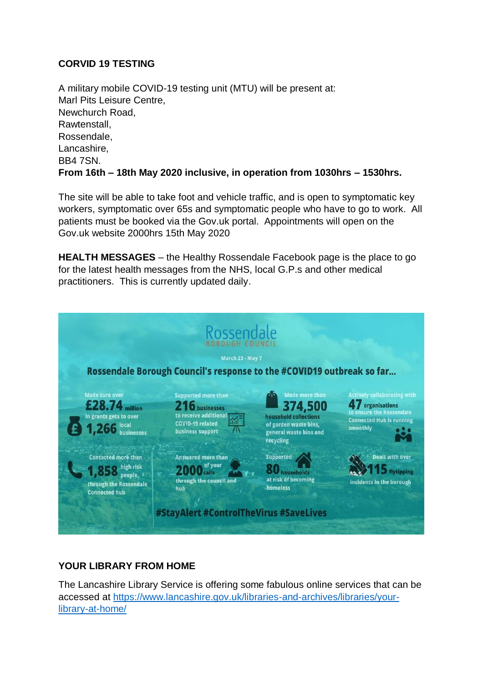#### **CORVID 19 TESTING**

A military mobile COVID-19 testing unit (MTU) will be present at: Marl Pits Leisure Centre, Newchurch Road, Rawtenstall, Rossendale, Lancashire, BB4 7SN. **From 16th – 18th May 2020 inclusive, in operation from 1030hrs – 1530hrs.** 

The site will be able to take foot and vehicle traffic, and is open to symptomatic key workers, symptomatic over 65s and symptomatic people who have to go to work. All patients must be booked via the Gov.uk portal. Appointments will open on the Gov.uk website 2000hrs 15th May 2020

**HEALTH MESSAGES** – the Healthy Rossendale Facebook page is the place to go for the latest health messages from the NHS, local G.P.s and other medical practitioners. This is currently updated daily.



#### **YOUR LIBRARY FROM HOME**

The Lancashire Library Service is offering some fabulous online services that can be accessed at [https://www.lancashire.gov.uk/libraries-and-archives/libraries/your](https://protect-eu.mimecast.com/s/7WXTCk5GACNVyJi2UEZ1?domain=lancashire.gov.uk/)[library-at-home/](https://protect-eu.mimecast.com/s/7WXTCk5GACNVyJi2UEZ1?domain=lancashire.gov.uk/)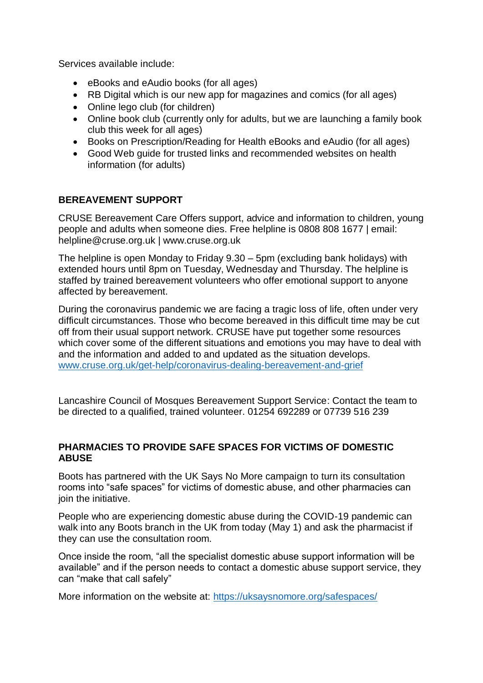Services available include:

- eBooks and eAudio books (for all ages)
- RB Digital which is our new app for magazines and comics (for all ages)
- Online lego club (for children)
- Online book club (currently only for adults, but we are launching a family book club this week for all ages)
- Books on Prescription/Reading for Health eBooks and eAudio (for all ages)
- Good Web guide for trusted links and recommended websites on health information (for adults)

#### **BEREAVEMENT SUPPORT**

CRUSE Bereavement Care Offers support, advice and information to children, young people and adults when someone dies. Free helpline is 0808 808 1677 | email: helpline@cruse.org.uk | www.cruse.org.uk

The helpline is open Monday to Friday 9.30 – 5pm (excluding bank holidays) with extended hours until 8pm on Tuesday, Wednesday and Thursday. The helpline is staffed by trained bereavement volunteers who offer emotional support to anyone affected by bereavement.

During the coronavirus pandemic we are facing a tragic loss of life, often under very difficult circumstances. Those who become bereaved in this difficult time may be cut off from their usual support network. CRUSE have put together some resources which cover some of the different situations and emotions you may have to deal with and the information and added to and updated as the situation develops. [www.cruse.org.uk/get-help/coronavirus-dealing-bereavement-and-grief](http://www.cruse.org.uk/get-help/coronavirus-dealing-bereavement-and-grief)

Lancashire Council of Mosques Bereavement Support Service: Contact the team to be directed to a qualified, trained volunteer. 01254 692289 or 07739 516 239

#### **PHARMACIES TO PROVIDE SAFE SPACES FOR VICTIMS OF DOMESTIC ABUSE**

Boots has partnered with the UK Says No More campaign to turn its consultation rooms into "safe spaces" for victims of domestic abuse, and other pharmacies can join the initiative.

People who are experiencing domestic abuse during the COVID-19 pandemic can walk into any Boots branch in the UK from today (May 1) and ask the pharmacist if they can use the consultation room.

Once inside the room, "all the specialist domestic abuse support information will be available" and if the person needs to contact a domestic abuse support service, they can "make that call safely"

More information on the website at:<https://uksaysnomore.org/safespaces/>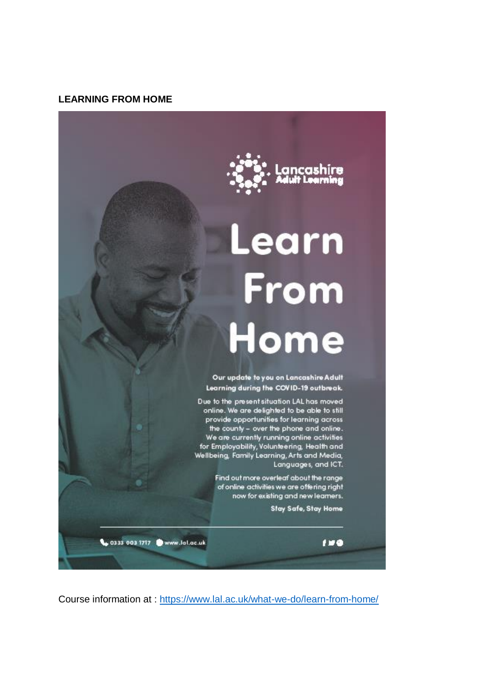#### **LEARNING FROM HOME**



# Learn From<br>Home

Our update to you on Lancashire Adult Learning during the COVID-19 outbreak.

Due to the present situation LAL has moved online. We are delighted to be able to still provide opportunities for learning across the county - over the phone and online. We are currently running online activities<br>for Employability, Volunteering, Health and<br>Wellbeing, Family Learning, Arts and Media,<br>Languages, and ICT.

> Find out more overleaf about the range of online activities we are offering right now for existing and new learners.

> > Stay Safe, Stay Home

 $119$ 

0333 003 1717 Www.lal.ac.uk

Course information at :<https://www.lal.ac.uk/what-we-do/learn-from-home/>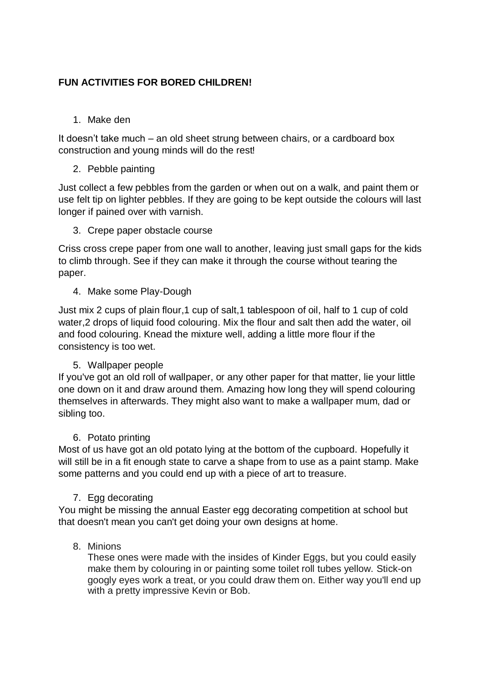#### **FUN ACTIVITIES FOR BORED CHILDREN!**

1. Make den

It doesn't take much – an old sheet strung between chairs, or a cardboard box construction and young minds will do the rest!

2. Pebble painting

Just collect a few pebbles from the garden or when out on a walk, and paint them or use felt tip on lighter pebbles. If they are going to be kept outside the colours will last longer if pained over with varnish.

3. Crepe paper obstacle course

Criss cross crepe paper from one wall to another, leaving just small gaps for the kids to climb through. See if they can make it through the course without tearing the paper.

4. Make some Play-Dough

Just mix 2 cups of plain flour,1 cup of salt,1 tablespoon of oil, half to 1 cup of cold water,2 drops of liquid food colouring. Mix the flour and salt then add the water, oil and food colouring. Knead the mixture well, adding a little more flour if the consistency is too wet.

#### 5. Wallpaper people

If you've got an old roll of wallpaper, or any other paper for that matter, lie your little one down on it and draw around them. Amazing how long they will spend colouring themselves in afterwards. They might also want to make a wallpaper mum, dad or sibling too.

#### 6. Potato printing

Most of us have got an old potato lying at the bottom of the cupboard. Hopefully it will still be in a fit enough state to carve a shape from to use as a paint stamp. Make some patterns and you could end up with a piece of art to treasure.

#### 7. Egg decorating

You might be missing the annual Easter egg decorating competition at school but that doesn't mean you can't get doing your own designs at home.

#### 8. Minions

These ones were made with the insides of Kinder Eggs, but you could easily make them by colouring in or painting some toilet roll tubes yellow. Stick-on googly eyes work a treat, or you could draw them on. Either way you'll end up with a pretty impressive Kevin or Bob.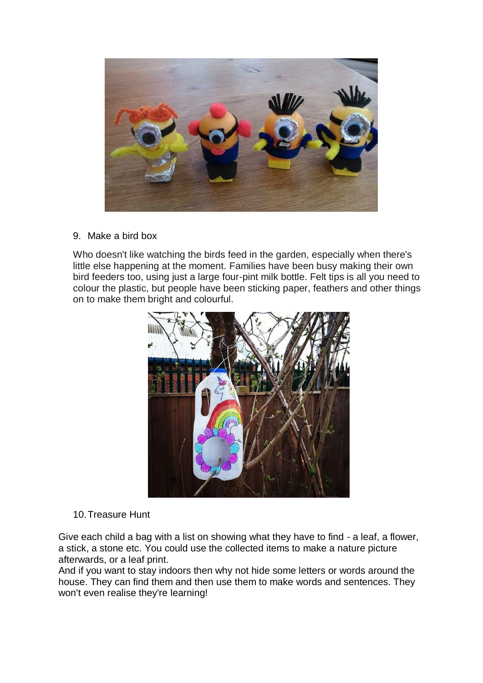

9. Make a bird box

Who doesn't like watching the birds feed in the garden, especially when there's little else happening at the moment. Families have been busy making their own bird feeders too, using just a large four-pint milk bottle. Felt tips is all you need to colour the plastic, but people have been sticking paper, feathers and other things on to make them bright and colourful.



10.Treasure Hunt

Give each child a bag with a list on showing what they have to find - a leaf, a flower, a stick, a stone etc. You could use the collected items to make a nature picture afterwards, or a leaf print.

And if you want to stay indoors then why not hide some letters or words around the house. They can find them and then use them to make words and sentences. They won't even realise they're learning!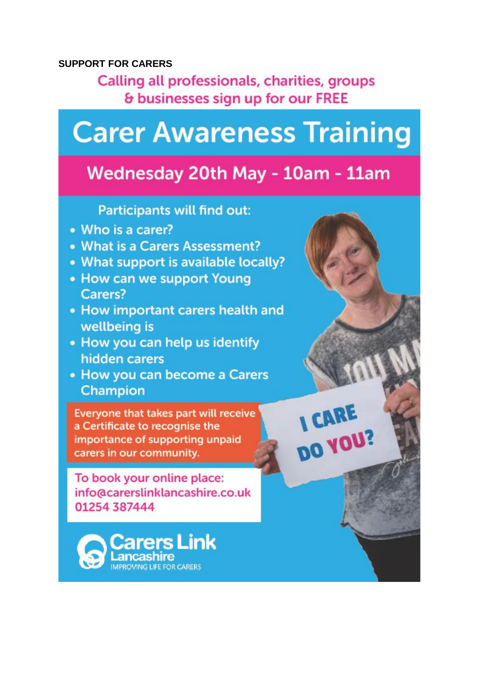#### **SUPPORT FOR CARERS**

Calling all professionals, charities, groups & businesses sign up for our FREE

## **Carer Awareness Training**

#### Wednesday 20th May - 10am - 11am

**Participants will find out:** 

- Who is a carer?
- What is a Carers Assessment?
- What support is available locally?
- How can we support Young Carers?
- How important carers health and wellbeing is
- . How you can help us identify hidden carers
- How you can become a Carers Champion

Evervone that takes part will receive a Certificate to recognise the importance of supporting unpaid carers in our community.

To book your online place: info@carerslinklancashire.co.uk 01254 387444



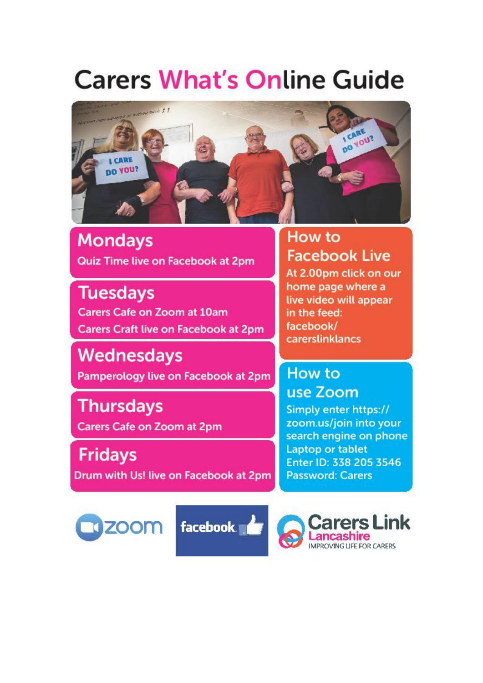## **Carers What's Online Guide**



**Mondays** Quiz Time live on Facebook at 2pm

**Tuesdays Carers Cafe on Zoom at 10am Carers Craft live on Facebook at 2pm** 

**Wednesdays** Pamperology live on Facebook at 2pm

**Thursdays** Carers Cafe on Zoom at 2pm

**Fridays** Drum with Us! live on Facebook at 2pm

#### How to **Facebook Live**

At 2.00pm click on our home page where a live video will appear in the feed: facebook/ carerslinklancs

#### How to use Zoom

Simply enter https:// zoom.us/join into your search engine on phone Laptop or tablet Enter ID: 338 205 3546 **Password: Carers** 





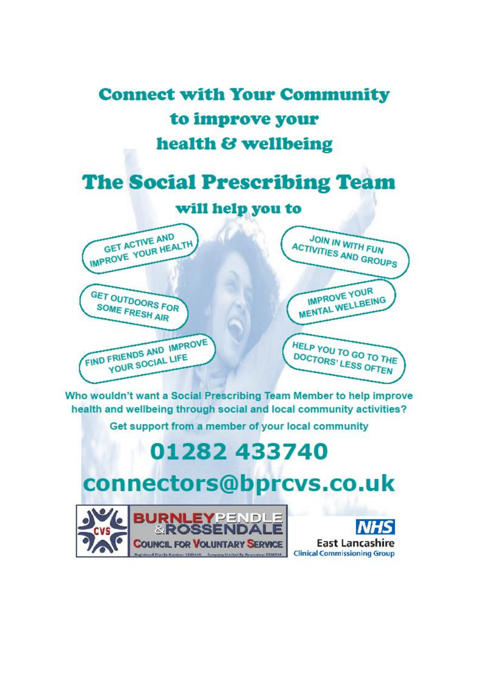

Who wouldn't want a Social Prescribing Team Member to help improve health and wellbeing through social and local community activities?

Get support from a member of your local community

## 01282 433740

### connectors@bprcvs.co.uk